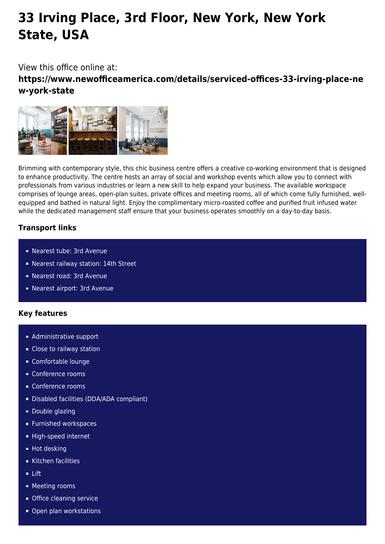# **33 Irving Place, 3rd Floor, New York, New York State, USA**

## View this office online at:

**https://www.newofficeamerica.com/details/serviced-offices-33-irving-place-ne w-york-state**



Brimming with contemporary style, this chic business centre offers a creative co-working environment that is designed to enhance productivity. The centre hosts an array of social and workshop events which allow you to connect with professionals from various industries or learn a new skill to help expand your business. The available workspace comprises of lounge areas, open-plan suites, private offices and meeting rooms, all of which come fully furnished, wellequipped and bathed in natural light. Enjoy the complimentary micro-roasted coffee and purified fruit infused water while the dedicated management staff ensure that your business operates smoothly on a day-to-day basis.

## **Transport links**

- Nearest tube: 3rd Avenue
- Nearest railway station: 14th Street
- Nearest road: 3rd Avenue
- Nearest airport: 3rd Avenue

## **Key features**

- **Administrative support**
- **Close to railway station**
- Comfortable lounge
- Conference rooms
- Conference rooms
- Disabled facilities (DDA/ADA compliant)
- Double glazing
- **Furnished workspaces**
- High-speed internet
- Hot desking
- Kitchen facilities
- $-$ lift
- **Meeting rooms**
- **Office cleaning service**
- Open plan workstations